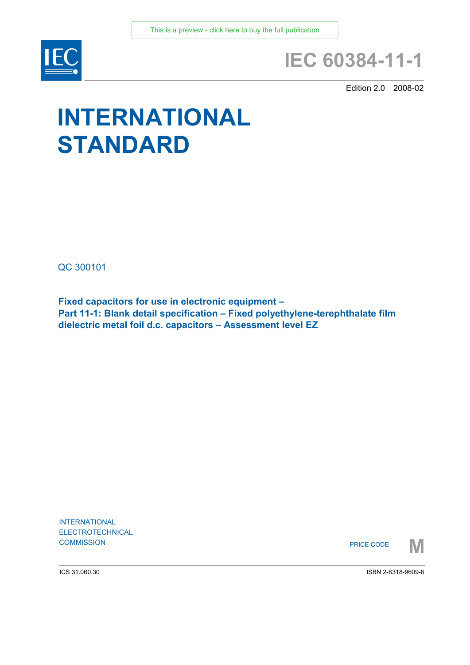

# **IEC 60384-11-1**

Edition 2.0 2008-02

# **INTERNATIONAL STANDARD**

QC 300101

**Fixed capacitors for use in electronic equipment – Part 11-1: Blank detail specification – Fixed polyethylene-terephthalate film dielectric metal foil d.c. capacitors – Assessment level EZ** 

INTERNATIONAL **ELECTROTECHNICAL COMMISSION** PRICE CODE

PRICE CODE

ICS 31.060.30

ISBN 2-8318-9609-6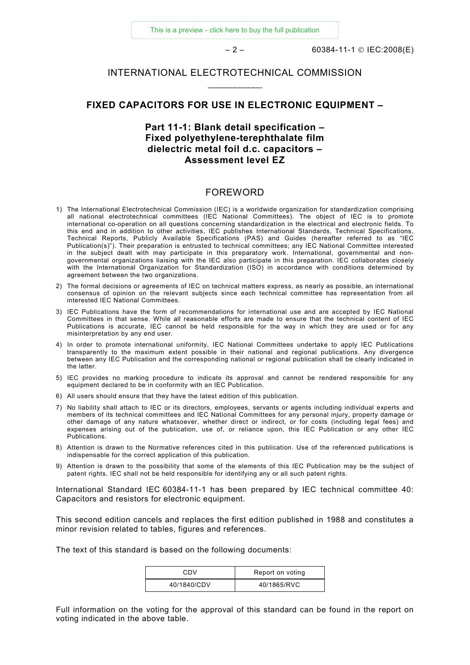[This is a preview - click here to buy the full publication](https://webstore.iec.ch/publication/1955&preview=1)

– 2 – 60384-11-1 © IEC:2008(E)

# INTERNATIONAL ELECTROTECHNICAL COMMISSION \_\_\_\_\_\_\_\_\_\_\_\_

# **FIXED CAPACITORS FOR USE IN ELECTRONIC EQUIPMENT –**

# **Part 11-1: Blank detail specification – Fixed polyethylene-terephthalate film dielectric metal foil d.c. capacitors – Assessment level EZ**

# FOREWORD

- 1) The International Electrotechnical Commission (IEC) is a worldwide organization for standardization comprising all national electrotechnical committees (IEC National Committees). The object of IEC is to promote international co-operation on all questions concerning standardization in the electrical and electronic fields. To this end and in addition to other activities, IEC publishes International Standards, Technical Specifications, Technical Reports, Publicly Available Specifications (PAS) and Guides (hereafter referred to as "IEC Publication(s)"). Their preparation is entrusted to technical committees; any IEC National Committee interested in the subject dealt with may participate in this preparatory work. International, governmental and nongovernmental organizations liaising with the IEC also participate in this preparation. IEC collaborates closely with the International Organization for Standardization (ISO) in accordance with conditions determined by agreement between the two organizations.
- 2) The formal decisions or agreements of IEC on technical matters express, as nearly as possible, an international consensus of opinion on the relevant subjects since each technical committee has representation from all interested IEC National Committees.
- 3) IEC Publications have the form of recommendations for international use and are accepted by IEC National Committees in that sense. While all reasonable efforts are made to ensure that the technical content of IEC Publications is accurate, IEC cannot be held responsible for the way in which they are used or for any misinterpretation by any end user.
- 4) In order to promote international uniformity, IEC National Committees undertake to apply IEC Publications transparently to the maximum extent possible in their national and regional publications. Any divergence between any IEC Publication and the corresponding national or regional publication shall be clearly indicated in the latter.
- 5) IEC provides no marking procedure to indicate its approval and cannot be rendered responsible for any equipment declared to be in conformity with an IEC Publication.
- 6) All users should ensure that they have the latest edition of this publication.
- 7) No liability shall attach to IEC or its directors, employees, servants or agents including individual experts and members of its technical committees and IEC National Committees for any personal injury, property damage or other damage of any nature whatsoever, whether direct or indirect, or for costs (including legal fees) and expenses arising out of the publication, use of, or reliance upon, this IEC Publication or any other IEC Publications.
- 8) Attention is drawn to the Normative references cited in this publication. Use of the referenced publications is indispensable for the correct application of this publication.
- 9) Attention is drawn to the possibility that some of the elements of this IEC Publication may be the subject of patent rights. IEC shall not be held responsible for identifying any or all such patent rights.

International Standard IEC 60384-11-1 has been prepared by IEC technical committee 40: Capacitors and resistors for electronic equipment.

This second edition cancels and replaces the first edition published in 1988 and constitutes a minor revision related to tables, figures and references.

The text of this standard is based on the following documents:

| CDV         | Report on voting |  |
|-------------|------------------|--|
| 40/1840/CDV | 40/1865/RVC      |  |

Full information on the voting for the approval of this standard can be found in the report on voting indicated in the above table.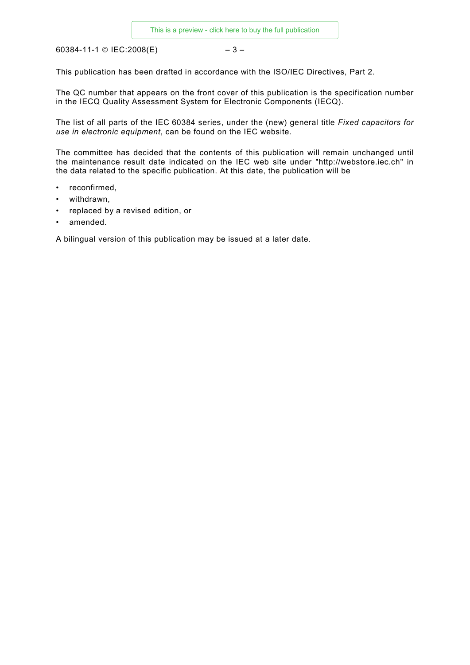60384-11-1 © IEC:2008(E) – 3 –

This publication has been drafted in accordance with the ISO/IEC Directives, Part 2.

The QC number that appears on the front cover of this publication is the specification number in the IECQ Quality Assessment System for Electronic Components (IECQ).

The list of all parts of the IEC 60384 series, under the (new) general title *Fixed capacitors for use in electronic equipment*, can be found on the IEC website.

The committee has decided that the contents of this publication will remain unchanged until the maintenance result date indicated on the IEC web site under "http://webstore.iec.ch" in the data related to the specific publication. At this date, the publication will be

- reconfirmed,
- withdrawn,
- replaced by a revised edition, or
- amended.

A bilingual version of this publication may be issued at a later date.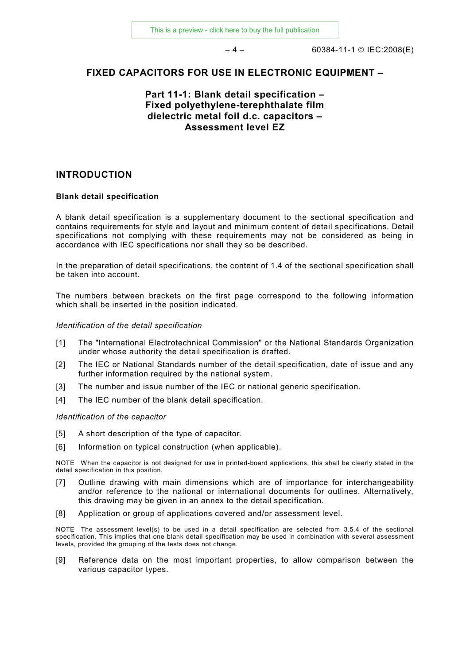$-4 - 60384 - 11 - 1 \circ \text{IEC:} 2008 \text{(E)}$ 

# **FIXED CAPACITORS FOR USE IN ELECTRONIC EQUIPMENT –**

# **Part 11-1: Blank detail specification – Fixed polyethylene-terephthalate film dielectric metal foil d.c. capacitors – Assessment level EZ**

# **INTRODUCTION**

#### **Blank detail specification**

A blank detail specification is a supplementary document to the sectional specification and contains requirements for style and layout and minimum content of detail specifications. Detail specifications not complying with these requirements may not be considered as being in accordance with IEC specifications nor shall they so be described.

In the preparation of detail specifications, the content of 1.4 of the sectional specification shall be taken into account.

The numbers between brackets on the first page correspond to the following information which shall be inserted in the position indicated.

#### *Identification of the detail specification*

- [1] The "International Electrotechnical Commission" or the National Standards Organization under whose authority the detail specification is drafted.
- [2] The IEC or National Standards number of the detail specification, date of issue and any further information required by the national system.
- [3] The number and issue number of the IEC or national generic specification.
- [4] The IEC number of the blank detail specification.

#### *Identification of the capacitor*

- [5] A short description of the type of capacitor.
- [6] Information on typical construction (when applicable).

NOTE When the capacitor is not designed for use in printed-board applications, this shall be clearly stated in the detail specification in this position.

- [7] Outline drawing with main dimensions which are of importance for interchangeability and/or reference to the national or international documents for outlines. Alternatively, this drawing may be given in an annex to the detail specification.
- [8] Application or group of applications covered and/or assessment level.

NOTE The assessment level(s) to be used in a detail specification are selected from 3.5.4 of the sectional specification. This implies that one blank detail specification may be used in combination with several assessment levels, provided the grouping of the tests does not change.

[9] Reference data on the most important properties, to allow comparison between the various capacitor types.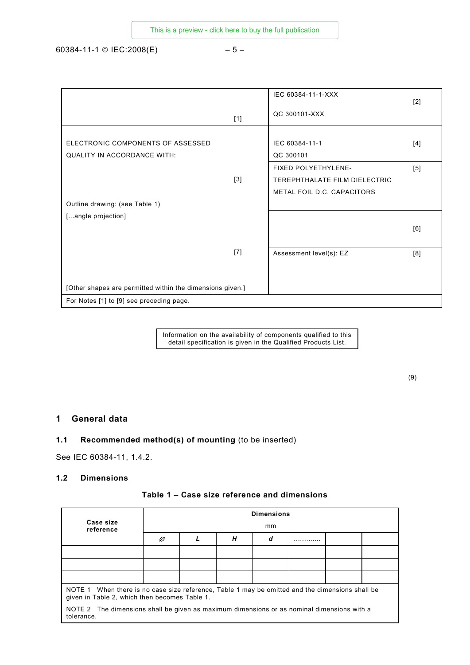60384-11-1 © IEC:2008(E) – 5 –

|                                                           | IEC 60384-11-1-XXX            |       |
|-----------------------------------------------------------|-------------------------------|-------|
| $[1]$                                                     | QC 300101-XXX                 | $[2]$ |
|                                                           |                               |       |
| ELECTRONIC COMPONENTS OF ASSESSED                         | IEC 60384-11-1                | [4]   |
| <b>QUALITY IN ACCORDANCE WITH:</b>                        | QC 300101                     |       |
|                                                           | FIXED POLYETHYLENE-           | [5]   |
| $[3]$                                                     | TEREPHTHALATE FILM DIELECTRIC |       |
|                                                           | METAL FOIL D.C. CAPACITORS    |       |
| Outline drawing: (see Table 1)                            |                               |       |
| [angle projection]                                        |                               |       |
|                                                           |                               | [6]   |
|                                                           |                               |       |
| $[7]$                                                     | Assessment level(s): EZ       | [8]   |
|                                                           |                               |       |
|                                                           |                               |       |
| [Other shapes are permitted within the dimensions given.] |                               |       |
| For Notes [1] to [9] see preceding page.                  |                               |       |

Information on the availability of components qualified to this detail specification is given in the Qualified Products List.

(9)

# **1 General data**

### **1.1 Recommended method(s) of mounting** (to be inserted)

See IEC 60384-11, 1.4.2.

### **1.2 Dimensions**

| Table 1 - Case size reference and dimensions |  |
|----------------------------------------------|--|
|----------------------------------------------|--|

|                                                                                                                                                  | <b>Dimensions</b> |  |   |   |  |  |
|--------------------------------------------------------------------------------------------------------------------------------------------------|-------------------|--|---|---|--|--|
| Case size<br>reference                                                                                                                           | mm                |  |   |   |  |  |
|                                                                                                                                                  | Ø                 |  | Н | d |  |  |
|                                                                                                                                                  |                   |  |   |   |  |  |
|                                                                                                                                                  |                   |  |   |   |  |  |
|                                                                                                                                                  |                   |  |   |   |  |  |
| NOTE 1 When there is no case size reference, Table 1 may be omitted and the dimensions shall be<br>given in Table 2, which then becomes Table 1. |                   |  |   |   |  |  |
| NOTE 2 The dimensions shall be given as maximum dimensions or as nominal dimensions with a<br>tolerance.                                         |                   |  |   |   |  |  |